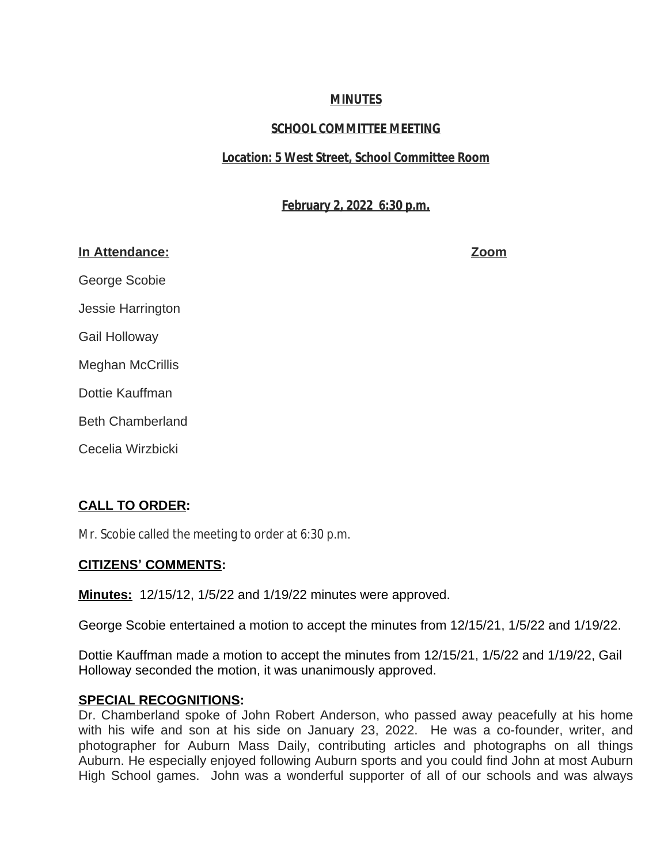# **MINUTES**

# **SCHOOL COMMITTEE MEETING**

# **Location: 5 West Street, School Committee Room**

# **February 2, 2022 6:30 p.m.**

# **In Attendance: Zoom**

George Scobie Jessie Harrington Gail Holloway Meghan McCrillis Dottie Kauffman Beth Chamberland Cecelia Wirzbicki

# **CALL TO ORDER:**

Mr. Scobie called the meeting to order at 6:30 p.m.

# **CITIZENS' COMMENTS:**

**Minutes:** 12/15/12, 1/5/22 and 1/19/22 minutes were approved.

George Scobie entertained a motion to accept the minutes from 12/15/21, 1/5/22 and 1/19/22.

Dottie Kauffman made a motion to accept the minutes from 12/15/21, 1/5/22 and 1/19/22, Gail Holloway seconded the motion, it was unanimously approved.

# **SPECIAL RECOGNITIONS:**

Dr. Chamberland spoke of John Robert Anderson, who passed away peacefully at his home with his wife and son at his side on January 23, 2022. He was a co-founder, writer, and photographer for Auburn Mass Daily, contributing articles and photographs on all things Auburn. He especially enjoyed following Auburn sports and you could find John at most Auburn High School games. John was a wonderful supporter of all of our schools and was always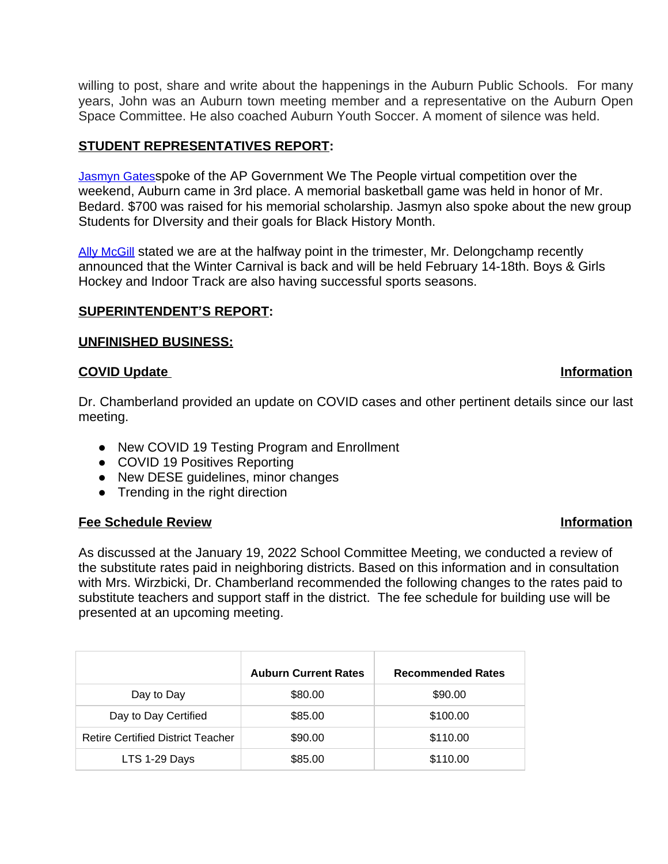willing to post, share and write about the happenings in the Auburn Public Schools. For many years, John was an Auburn town meeting member and a representative on the Auburn Open Space Committee. He also coached Auburn Youth Soccer. A moment of silence was held.

# **STUDENT REPRESENTATIVES REPORT:**

[Jasmyn Gates](mailto:jgates22@auburn.k12.ma.us)[spoke of the AP Government We The People virtual competition over the](mailto:jgates22@auburn.k12.ma.us)  [weekend, Auburn came in 3rd place. A memorial basketball game was held in honor of Mr.](mailto:jgates22@auburn.k12.ma.us)  [Bedard. \\$700 was raised for his memorial scholarship. Jasmyn also spoke about the new group](mailto:jgates22@auburn.k12.ma.us) [Students for DIversity and their goals for Black History Month.](mailto:jgates22@auburn.k12.ma.us)

[Ally McGill](mailto:amcgill23@auburn.k12.ma.us) stated we are at the halfway point in the trimester, Mr. Delongchamp recently announced that the Winter Carnival is back and will be held February 14-18th. Boys & Girls Hockey and Indoor Track are also having successful sports seasons.

### **SUPERINTENDENT'S REPORT:**

### **UNFINISHED BUSINESS:**

### **COVID Update Information**

### Dr. Chamberland provided an update on COVID cases and other pertinent details since our last meeting.

- New COVID 19 Testing Program and Enrollment
- COVID 19 Positives Reporting
- New DESE quidelines, minor changes
- Trending in the right direction

### **Fee Schedule Review Information**

As discussed at the January 19, 2022 School Committee Meeting, we conducted a review of the substitute rates paid in neighboring districts. Based on this information and in consultation with Mrs. Wirzbicki, Dr. Chamberland recommended the following changes to the rates paid to substitute teachers and support staff in the district. The fee schedule for building use will be presented at an upcoming meeting.

|                                          | <b>Auburn Current Rates</b> | <b>Recommended Rates</b> |
|------------------------------------------|-----------------------------|--------------------------|
| Day to Day                               | \$80.00                     | \$90.00                  |
| Day to Day Certified                     | \$85.00                     | \$100.00                 |
| <b>Retire Certified District Teacher</b> | \$90.00                     | \$110.00                 |
| LTS 1-29 Days                            | \$85.00                     | \$110.00                 |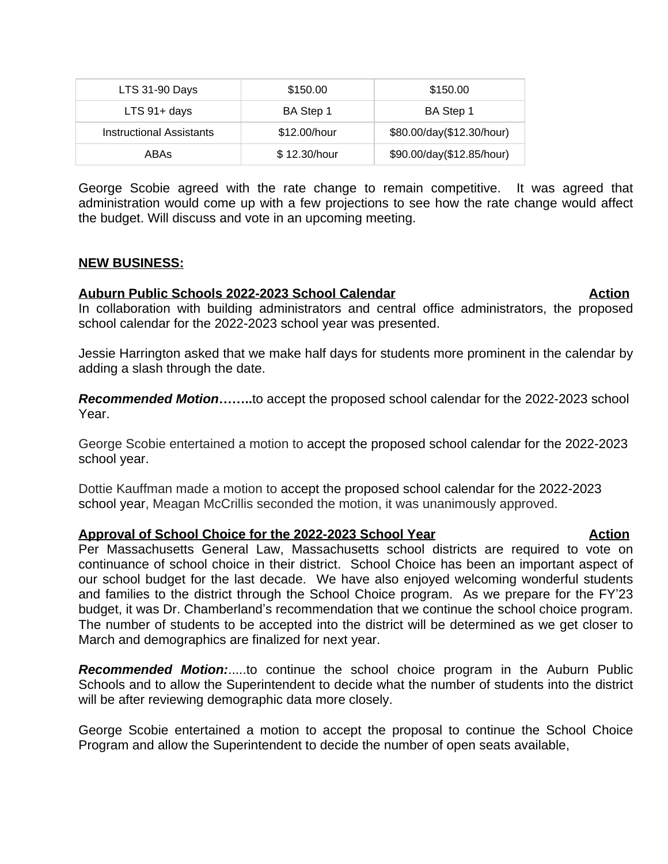| LTS 31-90 Days                  | \$150.00     | \$150.00                  |
|---------------------------------|--------------|---------------------------|
| $LTS$ 91+ days                  | BA Step 1    | BA Step 1                 |
| <b>Instructional Assistants</b> | \$12.00/hour | \$80.00/day(\$12.30/hour) |
| ABAs                            | \$12.30/hour | \$90.00/day(\$12.85/hour) |

George Scobie agreed with the rate change to remain competitive. It was agreed that administration would come up with a few projections to see how the rate change would affect the budget. Will discuss and vote in an upcoming meeting.

### **NEW BUSINESS:**

### **Auburn Public Schools 2022-2023 School Calendar Action**

In collaboration with building administrators and central office administrators, the proposed school calendar for the 2022-2023 school year was presented.

Jessie Harrington asked that we make half days for students more prominent in the calendar by adding a slash through the date.

*Recommended Motion***……..**to accept the proposed school calendar for the 2022-2023 school Year.

George Scobie entertained a motion to accept the proposed school calendar for the 2022-2023 school year.

Dottie Kauffman made a motion to accept the proposed school calendar for the 2022-2023 school year, Meagan McCrillis seconded the motion, it was unanimously approved.

### **Approval of School Choice for the 2022-2023 School Year Action**

Per Massachusetts General Law, Massachusetts school districts are required to vote on continuance of school choice in their district. School Choice has been an important aspect of our school budget for the last decade. We have also enjoyed welcoming wonderful students and families to the district through the School Choice program. As we prepare for the FY'23 budget, it was Dr. Chamberland's recommendation that we continue the school choice program. The number of students to be accepted into the district will be determined as we get closer to March and demographics are finalized for next year.

*Recommended Motion:*.....to continue the school choice program in the Auburn Public Schools and to allow the Superintendent to decide what the number of students into the district will be after reviewing demographic data more closely.

George Scobie entertained a motion to accept the proposal to continue the School Choice Program and allow the Superintendent to decide the number of open seats available,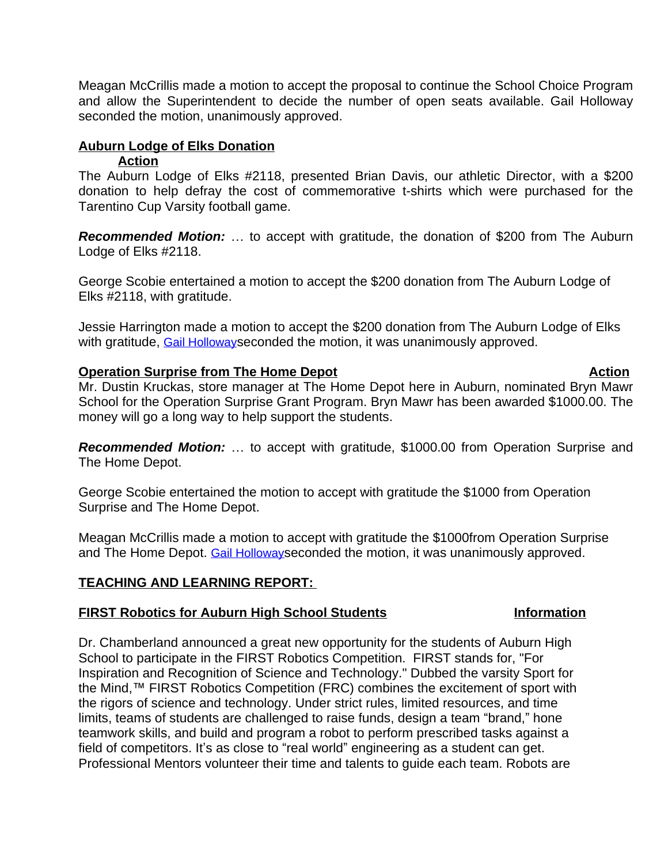Meagan McCrillis made a motion to accept the proposal to continue the School Choice Program and allow the Superintendent to decide the number of open seats available. Gail Holloway seconded the motion, unanimously approved.

### **Auburn Lodge of Elks Donation**

### **Action**

The Auburn Lodge of Elks #2118, presented Brian Davis, our athletic Director, with a \$200 donation to help defray the cost of commemorative t-shirts which were purchased for the Tarentino Cup Varsity football game.

*Recommended Motion:* … to accept with gratitude, the donation of \$200 from The Auburn Lodge of Elks #2118.

George Scobie entertained a motion to accept the \$200 donation from The Auburn Lodge of Elks #2118, with gratitude.

Jessie Harrington made a motion to accept the \$200 donation from The Auburn Lodge of Elks with gratitude, [Gail Holloway](mailto:gholloway3@aol.com) [seconded the motion, it was unanimously approved.](mailto:gholloway3@aol.com)

### **[Operation Surprise from The Home Depot](mailto:gholloway3@aol.com) [Action](mailto:gholloway3@aol.com) Action**

Mr. [Dustin](mailto:gholloway3@aol.com) [Kruckas,](mailto:gholloway3@aol.com) store manager at The Home Depot here in Auburn, [nominated](mailto:gholloway3@aol.com) Bryn [Mawr](mailto:gholloway3@aol.com) School for the [Operation](mailto:gholloway3@aol.com) Surprise Grant Program. Bryn [Mawr](mailto:gholloway3@aol.com) has been awarded [\\$1000.00.](mailto:gholloway3@aol.com) The [money will go a long way to help support the students.](mailto:gholloway3@aol.com)

*[Recommended](mailto:gholloway3@aol.com) Motion:* … to accept with gratitude, \$1000.00 from [Operation](mailto:gholloway3@aol.com) Surprise and [The Home Depot.](mailto:gholloway3@aol.com) 

[George Scobie entertained the motion to accept with gratitude the \\$1000 from Operation](mailto:gholloway3@aol.com)  [Surprise and The Home Depot.](mailto:gholloway3@aol.com)

[Meagan McCrillis made a motion to accept with gratitude the \\$1000from Operation Surprise](mailto:gholloway3@aol.com)  [and The Home Depot.](mailto:gholloway3@aol.com) [Gail Holloway](mailto:gholloway3@aol.com)[seconded the motion, it was unanimously approved.](mailto:gholloway3@aol.com)

# **[TEACHING AND LEARNING REPORT:](mailto:gholloway3@aol.com)**

# **[FIRST Robotics for Auburn High School Students](mailto:gholloway3@aol.com) [Information](mailto:gholloway3@aol.com)**

[Dr. Chamberland announced a great new opportunity for the students of Auburn High](mailto:gholloway3@aol.com)  [School to participate in the FIRST Robotics Competition. FIRST stands for, "For](mailto:gholloway3@aol.com)  [Inspiration and Recognition of Science and Technology." Dubbed the varsity Sport for](mailto:gholloway3@aol.com)  [the Mind,](mailto:gholloway3@aol.com)™ [FIRST Robotics Competition \(FRC\) combines the excitement of sport with](mailto:gholloway3@aol.com)  [the rigors of science and technology. Under strict rules, limited resources, and time](mailto:gholloway3@aol.com)  [limits, teams of students are challenged to raise funds, design a team](mailto:gholloway3@aol.com) "brand," hone [teamwork skills, and build and program a robot to perform prescribed tasks against a](mailto:gholloway3@aol.com)  field of competitors. It's as close to "real world" [engineering as a student can get.](mailto:gholloway3@aol.com)  [Professional Mentors volunteer their time and talents to guide each team. Robots are](mailto:gholloway3@aol.com)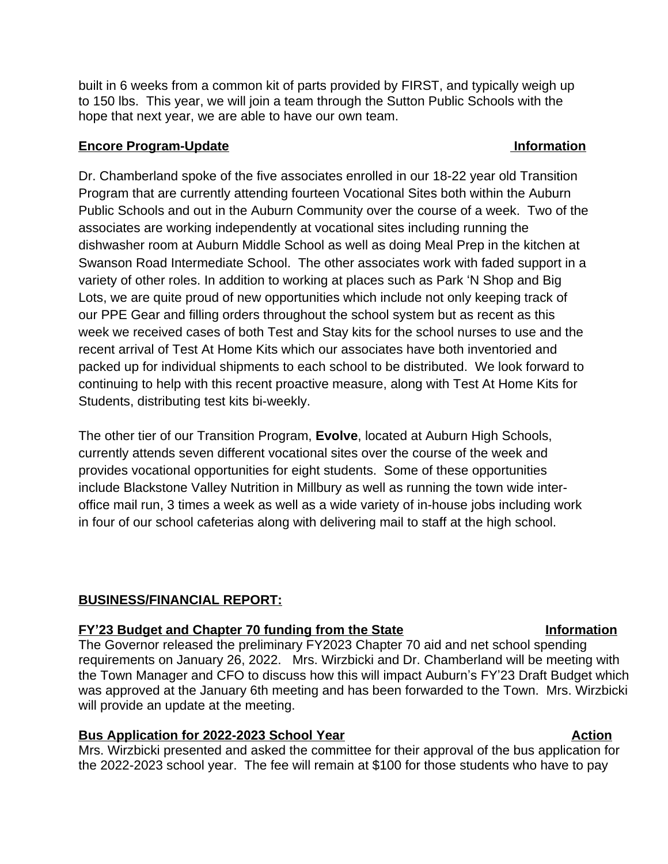built in 6 weeks from a common kit of parts provided by FIRST, and typically weigh up to 150 lbs. This year, we will join a team through the Sutton Public Schools with the hope that next year, we are able to have our own team.

## **Encore Program-Update Information**

Dr. Chamberland spoke of the five associates enrolled in our 18-22 year old Transition Program that are currently attending fourteen Vocational Sites both within the Auburn Public Schools and out in the Auburn Community over the course of a week. Two of the associates are working independently at vocational sites including running the dishwasher room at Auburn Middle School as well as doing Meal Prep in the kitchen at Swanson Road Intermediate School. The other associates work with faded support in a variety of other roles. In addition to working at places such as Park 'N Shop and Big Lots, we are quite proud of new opportunities which include not only keeping track of our PPE Gear and filling orders throughout the school system but as recent as this week we received cases of both Test and Stay kits for the school nurses to use and the recent arrival of Test At Home Kits which our associates have both inventoried and packed up for individual shipments to each school to be distributed. We look forward to continuing to help with this recent proactive measure, along with Test At Home Kits for Students, distributing test kits bi-weekly.

The other tier of our Transition Program, **Evolve**, located at Auburn High Schools, currently attends seven different vocational sites over the course of the week and provides vocational opportunities for eight students. Some of these opportunities include Blackstone Valley Nutrition in Millbury as well as running the town wide interoffice mail run, 3 times a week as well as a wide variety of in-house jobs including work in four of our school cafeterias along with delivering mail to staff at the high school.

# **BUSINESS/FINANCIAL REPORT:**

# **FY**<sup>'</sup>**23 Budget and Chapter 70 funding from the State <b>Information**

The Governor released the preliminary FY2023 Chapter 70 aid and net school spending requirements on January 26, 2022. Mrs. Wirzbicki and Dr. Chamberland will be meeting with the Town Manager and CFO to discuss how this will impact Auburn's FY'23 Draft Budget which was approved at the January 6th meeting and has been forwarded to the Town. Mrs. Wirzbicki will provide an update at the meeting.

# **Bus Application for 2022-2023 School Year <b>Action** Action

Mrs. Wirzbicki presented and asked the committee for their approval of the bus application for the 2022-2023 school year. The fee will remain at \$100 for those students who have to pay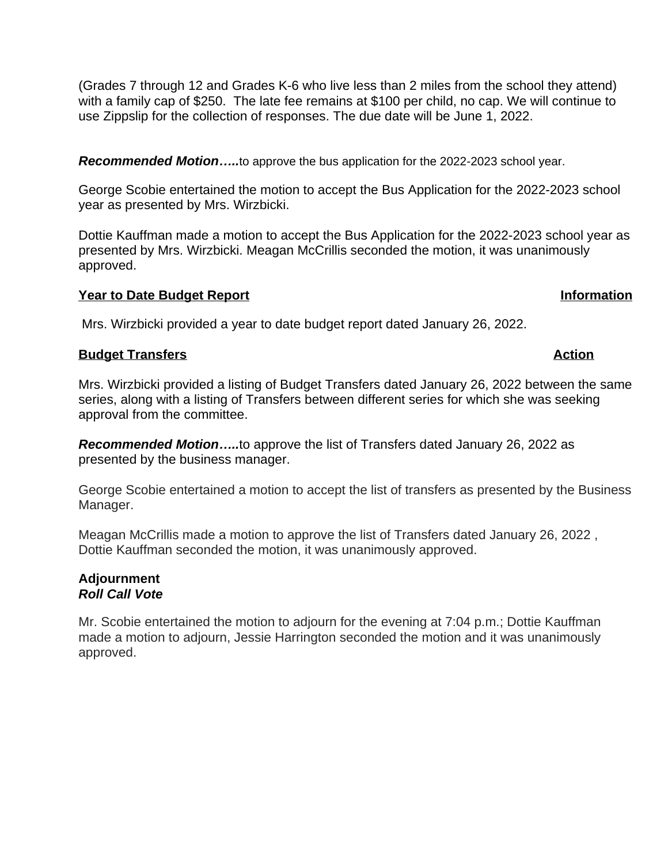(Grades 7 through 12 and Grades K-6 who live less than 2 miles from the school they attend) with a family cap of \$250. The late fee remains at \$100 per child, no cap. We will continue to use Zippslip for the collection of responses. The due date will be June 1, 2022.

*Recommended Motion…..*to approve the bus application for the 2022-2023 school year.

George Scobie entertained the motion to accept the Bus Application for the 2022-2023 school year as presented by Mrs. Wirzbicki.

Dottie Kauffman made a motion to accept the Bus Application for the 2022-2023 school year as presented by Mrs. Wirzbicki. Meagan McCrillis seconded the motion, it was unanimously approved.

## **Year to Date Budget Report in the Second Second Second Second Second Second Second Second Second Second Second Second Second Second Second Second Second Second Second Second Second Second Second Second Second Second Secon**

Mrs. Wirzbicki provided a year to date budget report dated January 26, 2022.

## **Budget Transfers Action**

Mrs. Wirzbicki provided a listing of Budget Transfers dated January 26, 2022 between the same series, along with a listing of Transfers between different series for which she was seeking approval from the committee.

*Recommended Motion…..*to approve the list of Transfers dated January 26, 2022 as presented by the business manager.

George Scobie entertained a motion to accept the list of transfers as presented by the Business Manager.

Meagan McCrillis made a motion to approve the list of Transfers dated January 26, 2022 , Dottie Kauffman seconded the motion, it was unanimously approved.

### **Adjournment** *Roll Call Vote*

Mr. Scobie entertained the motion to adjourn for the evening at 7:04 p.m.; Dottie Kauffman made a motion to adjourn, Jessie Harrington seconded the motion and it was unanimously approved.